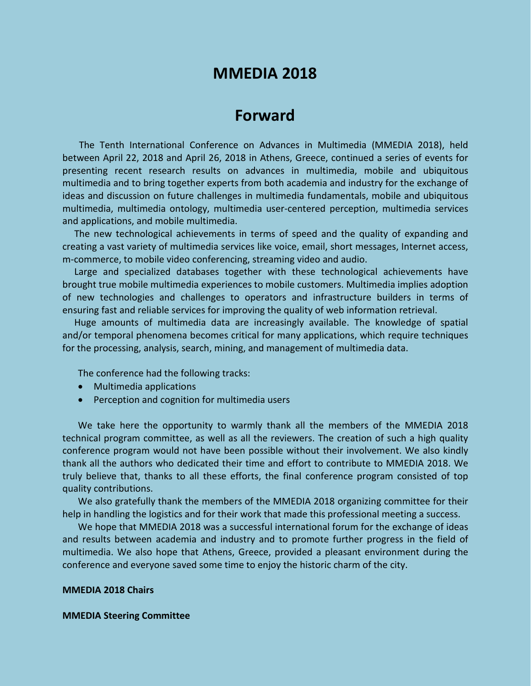# **MMEDIA 2018**

## **Forward**

The Tenth International Conference on Advances in Multimedia (MMEDIA 2018), held between April 22, 2018 and April 26, 2018 in Athens, Greece, continued a series of events for presenting recent research results on advances in multimedia, mobile and ubiquitous multimedia and to bring together experts from both academia and industry for the exchange of ideas and discussion on future challenges in multimedia fundamentals, mobile and ubiquitous multimedia, multimedia ontology, multimedia user-centered perception, multimedia services and applications, and mobile multimedia.

The new technological achievements in terms of speed and the quality of expanding and creating a vast variety of multimedia services like voice, email, short messages, Internet access, m-commerce, to mobile video conferencing, streaming video and audio.

Large and specialized databases together with these technological achievements have brought true mobile multimedia experiences to mobile customers. Multimedia implies adoption of new technologies and challenges to operators and infrastructure builders in terms of ensuring fast and reliable services for improving the quality of web information retrieval.

Huge amounts of multimedia data are increasingly available. The knowledge of spatial and/or temporal phenomena becomes critical for many applications, which require techniques for the processing, analysis, search, mining, and management of multimedia data.

The conference had the following tracks:

- Multimedia applications
- Perception and cognition for multimedia users

We take here the opportunity to warmly thank all the members of the MMEDIA 2018 technical program committee, as well as all the reviewers. The creation of such a high quality conference program would not have been possible without their involvement. We also kindly thank all the authors who dedicated their time and effort to contribute to MMEDIA 2018. We truly believe that, thanks to all these efforts, the final conference program consisted of top quality contributions.

We also gratefully thank the members of the MMEDIA 2018 organizing committee for their help in handling the logistics and for their work that made this professional meeting a success.

We hope that MMEDIA 2018 was a successful international forum for the exchange of ideas and results between academia and industry and to promote further progress in the field of multimedia. We also hope that Athens, Greece, provided a pleasant environment during the conference and everyone saved some time to enjoy the historic charm of the city.

### **MMEDIA 2018 Chairs**

#### **MMEDIA Steering Committee**